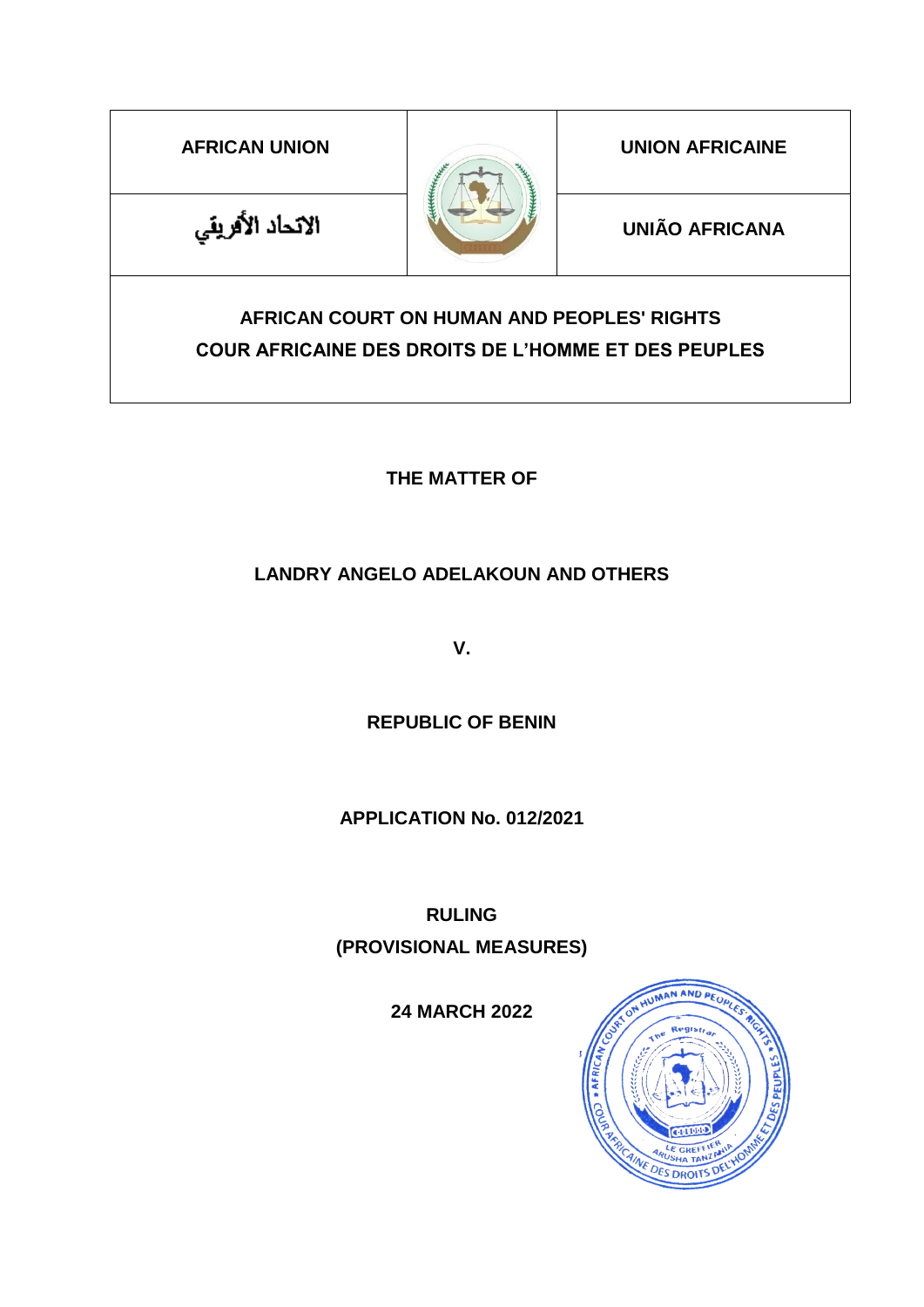

**THE MATTER OF**

# **LANDRY ANGELO ADELAKOUN AND OTHERS**

**V.**

**REPUBLIC OF BENIN**

**APPLICATION No. 012/2021**

**RULING (PROVISIONAL MEASURES)**

**24 MARCH 2022**

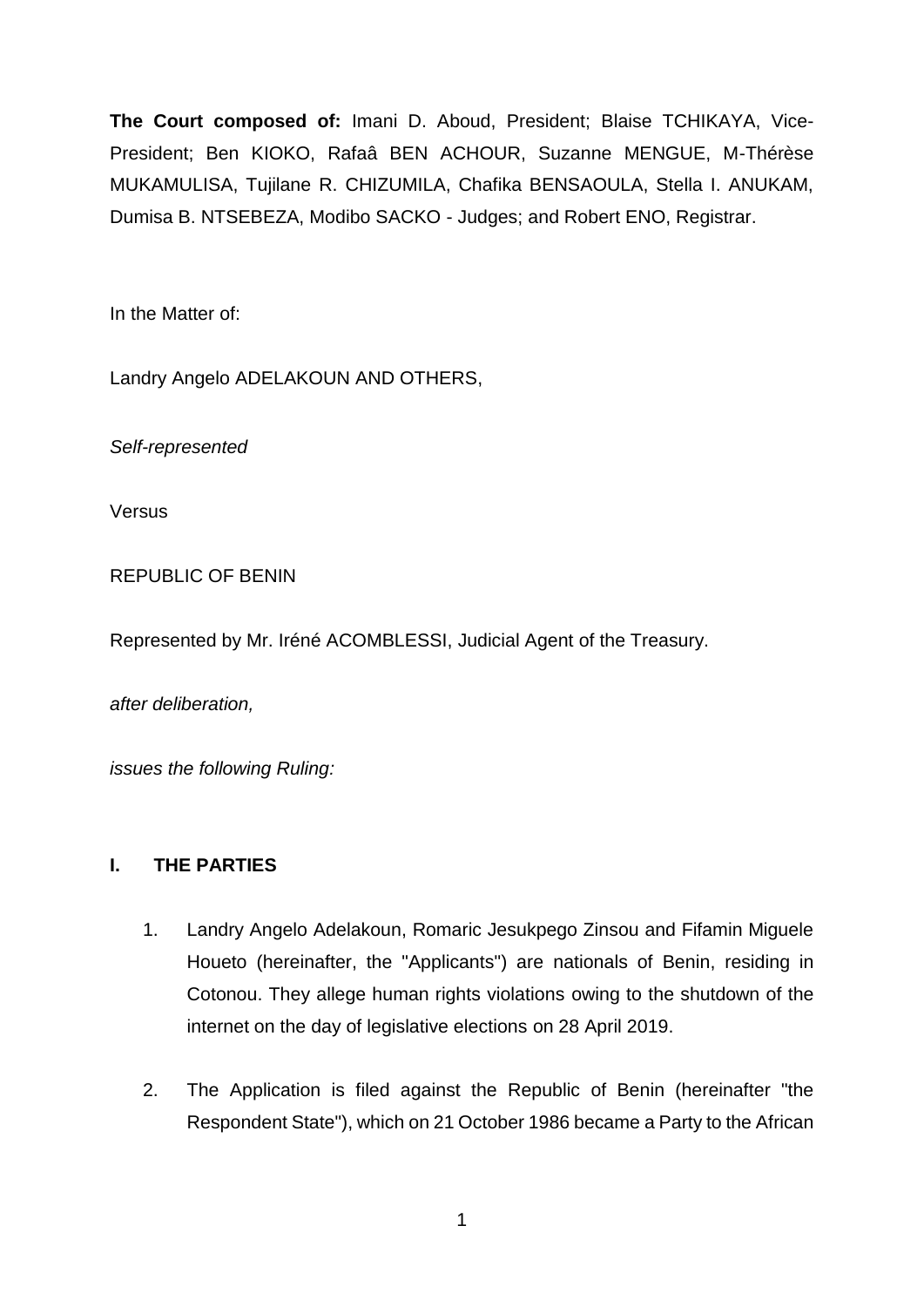**The Court composed of:** Imani D. Aboud, President; Blaise TCHIKAYA, Vice-President; Ben KIOKO, Rafaâ BEN ACHOUR, Suzanne MENGUE, M-Thérèse MUKAMULISA, Tujilane R. CHIZUMILA, Chafika BENSAOULA, Stella I. ANUKAM, Dumisa B. NTSEBEZA, Modibo SACKO - Judges; and Robert ENO, Registrar.

In the Matter of:

Landry Angelo ADELAKOUN AND OTHERS,

*Self-represented*

Versus

REPUBLIC OF BENIN

Represented by Mr. Iréné ACOMBLESSI, Judicial Agent of the Treasury.

*after deliberation,*

*issues the following Ruling:*

### **I. THE PARTIES**

- 1. Landry Angelo Adelakoun, Romaric Jesukpego Zinsou and Fifamin Miguele Houeto (hereinafter, the "Applicants") are nationals of Benin, residing in Cotonou. They allege human rights violations owing to the shutdown of the internet on the day of legislative elections on 28 April 2019.
- 2. The Application is filed against the Republic of Benin (hereinafter "the Respondent State"), which on 21 October 1986 became a Party to the African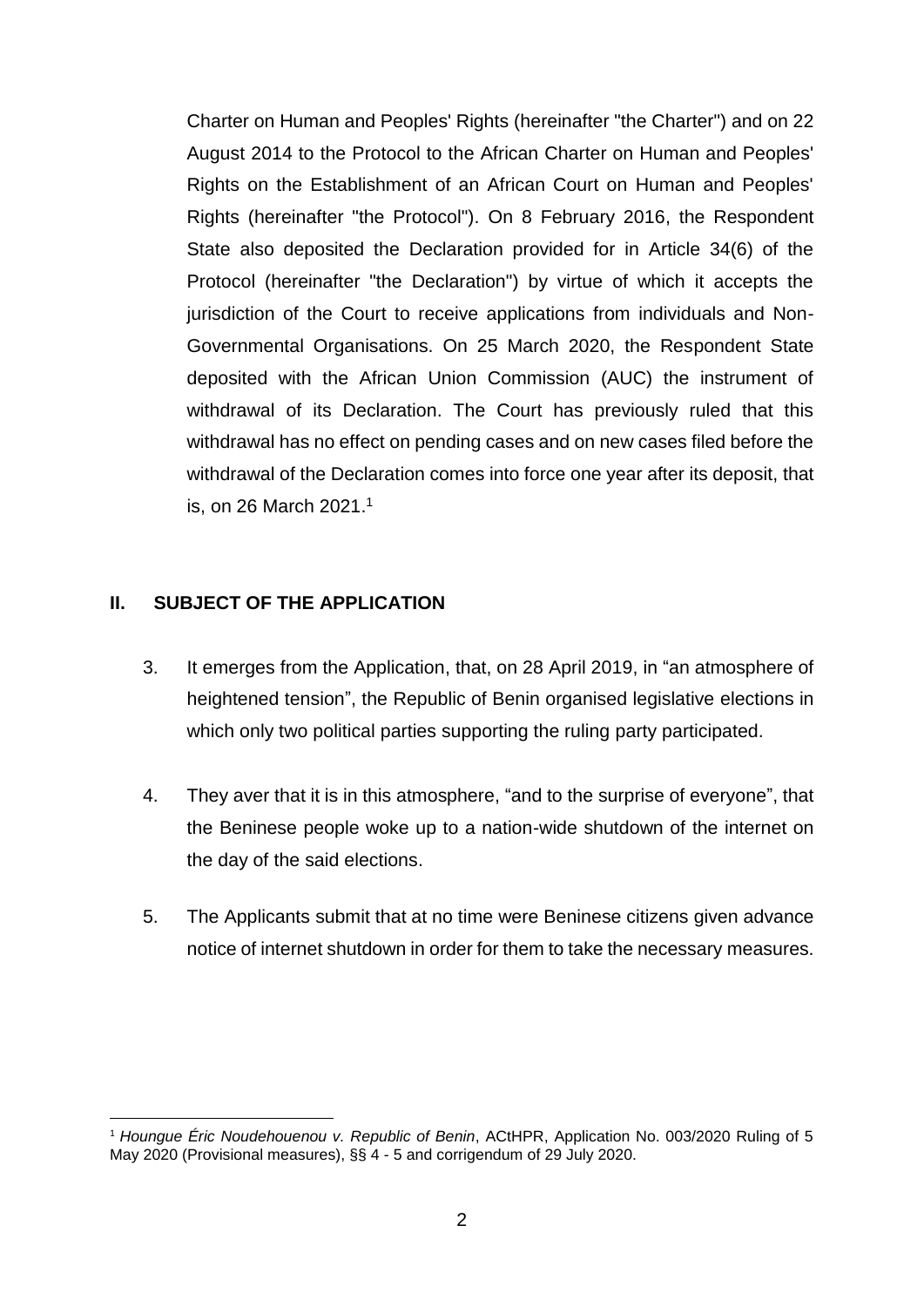Charter on Human and Peoples' Rights (hereinafter "the Charter") and on 22 August 2014 to the Protocol to the African Charter on Human and Peoples' Rights on the Establishment of an African Court on Human and Peoples' Rights (hereinafter "the Protocol"). On 8 February 2016, the Respondent State also deposited the Declaration provided for in Article 34(6) of the Protocol (hereinafter "the Declaration") by virtue of which it accepts the jurisdiction of the Court to receive applications from individuals and Non-Governmental Organisations. On 25 March 2020, the Respondent State deposited with the African Union Commission (AUC) the instrument of withdrawal of its Declaration. The Court has previously ruled that this withdrawal has no effect on pending cases and on new cases filed before the withdrawal of the Declaration comes into force one year after its deposit, that is, on 26 March 2021. 1

#### **II. SUBJECT OF THE APPLICATION**

- 3. It emerges from the Application, that, on 28 April 2019, in "an atmosphere of heightened tension", the Republic of Benin organised legislative elections in which only two political parties supporting the ruling party participated.
- 4. They aver that it is in this atmosphere, "and to the surprise of everyone", that the Beninese people woke up to a nation-wide shutdown of the internet on the day of the said elections.
- 5. The Applicants submit that at no time were Beninese citizens given advance notice of internet shutdown in order for them to take the necessary measures.

<sup>1</sup> <sup>1</sup> *Houngue Éric Noudehouenou v. Republic of Benin*, ACtHPR, Application No. 003/2020 Ruling of 5 May 2020 (Provisional measures), §§ 4 - 5 and corrigendum of 29 July 2020.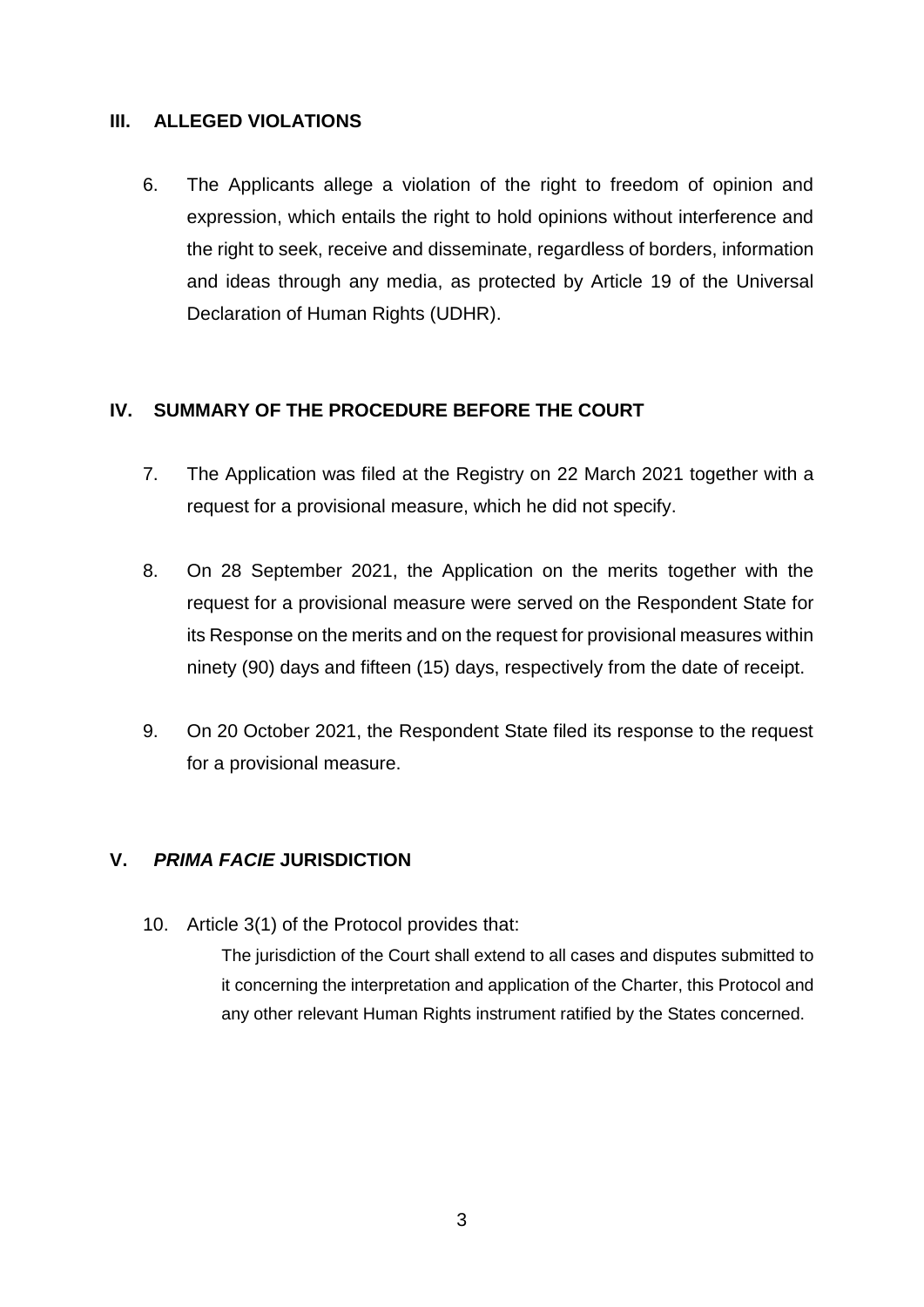### **III. ALLEGED VIOLATIONS**

6. The Applicants allege a violation of the right to freedom of opinion and expression, which entails the right to hold opinions without interference and the right to seek, receive and disseminate, regardless of borders, information and ideas through any media, as protected by Article 19 of the Universal Declaration of Human Rights (UDHR).

### **IV. SUMMARY OF THE PROCEDURE BEFORE THE COURT**

- 7. The Application was filed at the Registry on 22 March 2021 together with a request for a provisional measure, which he did not specify.
- 8. On 28 September 2021, the Application on the merits together with the request for a provisional measure were served on the Respondent State for its Response on the merits and on the request for provisional measures within ninety (90) days and fifteen (15) days, respectively from the date of receipt.
- 9. On 20 October 2021, the Respondent State filed its response to the request for a provisional measure.

### **V.** *PRIMA FACIE* **JURISDICTION**

10. Article 3(1) of the Protocol provides that:

The jurisdiction of the Court shall extend to all cases and disputes submitted to it concerning the interpretation and application of the Charter, this Protocol and any other relevant Human Rights instrument ratified by the States concerned.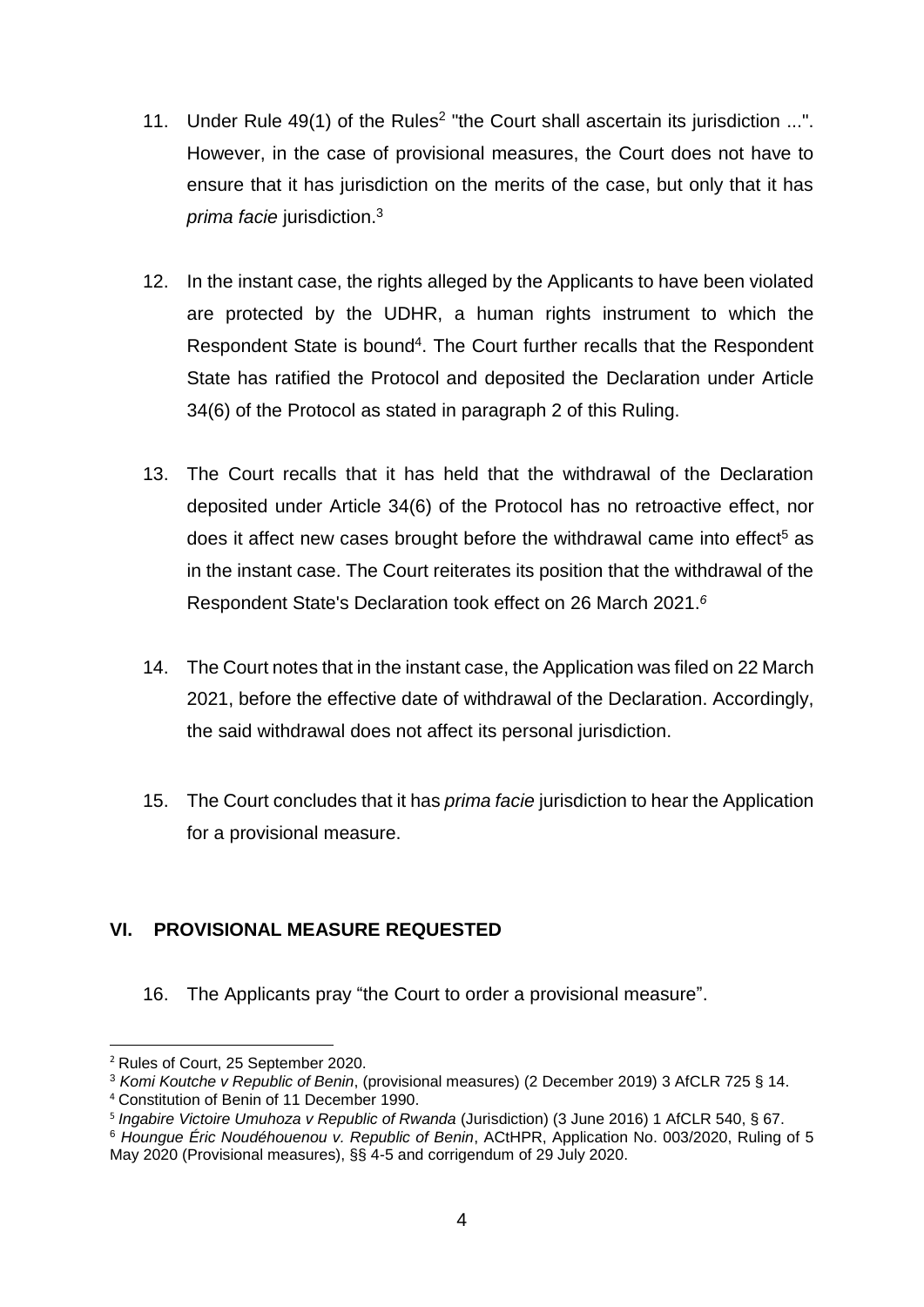- 11. Under Rule  $49(1)$  of the Rules<sup>2</sup> "the Court shall ascertain its jurisdiction ...". However, in the case of provisional measures, the Court does not have to ensure that it has jurisdiction on the merits of the case, but only that it has *prima facie* jurisdiction. 3
- 12. In the instant case, the rights alleged by the Applicants to have been violated are protected by the UDHR, a human rights instrument to which the Respondent State is bound<sup>4</sup>. The Court further recalls that the Respondent State has ratified the Protocol and deposited the Declaration under Article 34(6) of the Protocol as stated in paragraph 2 of this Ruling.
- 13. The Court recalls that it has held that the withdrawal of the Declaration deposited under Article 34(6) of the Protocol has no retroactive effect, nor does it affect new cases brought before the withdrawal came into effect<sup>5</sup> as in the instant case. The Court reiterates its position that the withdrawal of the Respondent State's Declaration took effect on 26 March 2021. *6*
- 14. The Court notes that in the instant case, the Application was filed on 22 March 2021, before the effective date of withdrawal of the Declaration. Accordingly, the said withdrawal does not affect its personal jurisdiction.
- 15. The Court concludes that it has *prima facie* jurisdiction to hear the Application for a provisional measure.

### **VI. PROVISIONAL MEASURE REQUESTED**

16. The Applicants pray "the Court to order a provisional measure".

**.** 

<sup>2</sup> Rules of Court, 25 September 2020.

<sup>3</sup> *Komi Koutche v Republic of Benin*, (provisional measures) (2 December 2019) 3 AfCLR 725 § 14.

<sup>4</sup> Constitution of Benin of 11 December 1990.

<sup>&</sup>lt;sup>5</sup> Ingabire Victoire Umuhoza v Republic of Rwanda (Jurisdiction) (3 June 2016) 1 AfCLR 540, § 67.

<sup>6</sup> *Houngue Éric Noudéhouenou v. Republic of Benin*, ACtHPR, Application No. 003/2020, Ruling of 5 May 2020 (Provisional measures), §§ 4-5 and corrigendum of 29 July 2020.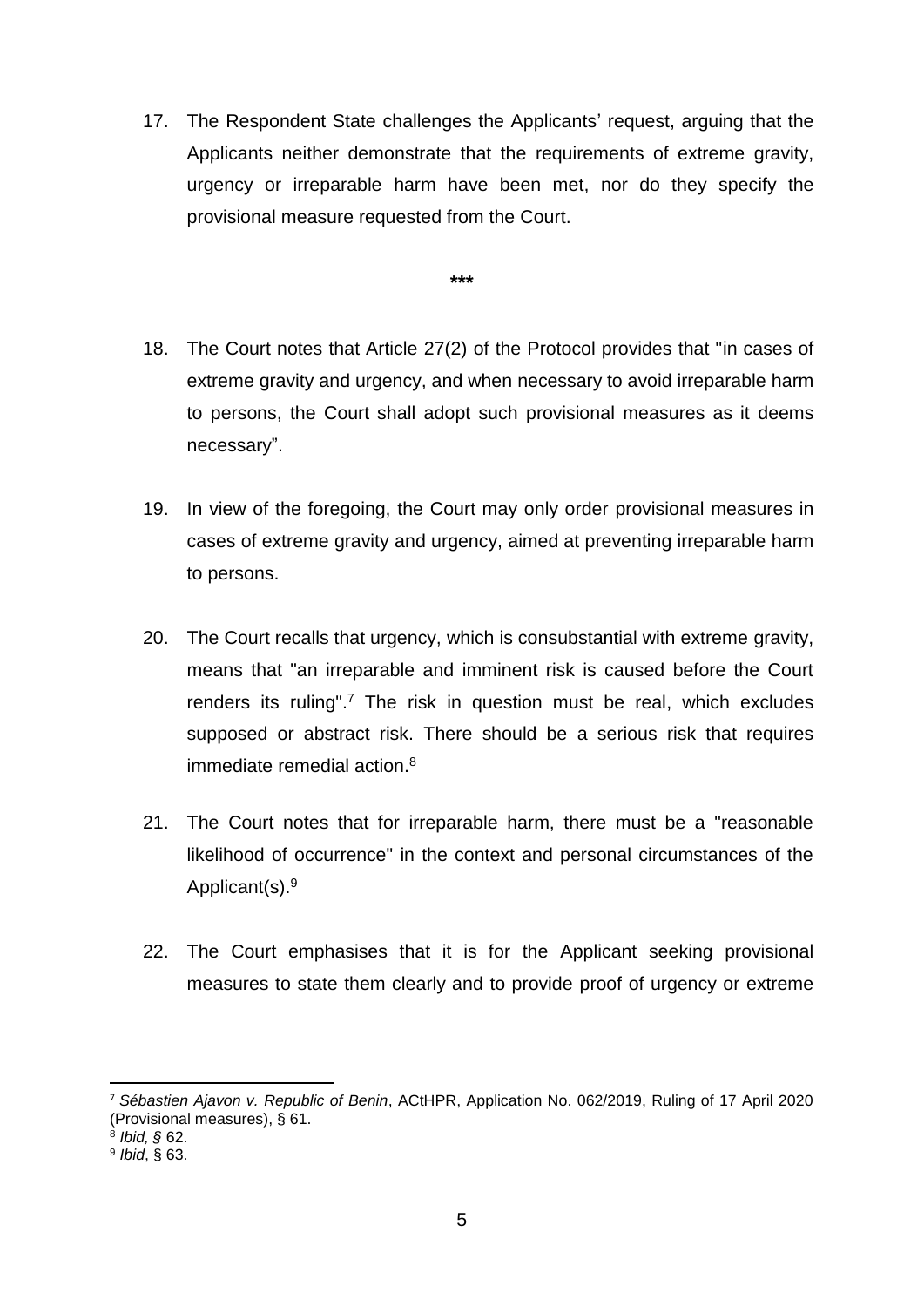17. The Respondent State challenges the Applicants' request, arguing that the Applicants neither demonstrate that the requirements of extreme gravity, urgency or irreparable harm have been met, nor do they specify the provisional measure requested from the Court.

**\*\*\***

- 18. The Court notes that Article 27(2) of the Protocol provides that "in cases of extreme gravity and urgency, and when necessary to avoid irreparable harm to persons, the Court shall adopt such provisional measures as it deems necessary".
- 19. In view of the foregoing, the Court may only order provisional measures in cases of extreme gravity and urgency, aimed at preventing irreparable harm to persons.
- 20. The Court recalls that urgency, which is consubstantial with extreme gravity, means that "an irreparable and imminent risk is caused before the Court renders its ruling".<sup>7</sup> The risk in question must be real, which excludes supposed or abstract risk. There should be a serious risk that requires immediate remedial action.<sup>8</sup>
- 21. The Court notes that for irreparable harm, there must be a "reasonable likelihood of occurrence" in the context and personal circumstances of the Applicant(s).<sup>9</sup>
- 22. The Court emphasises that it is for the Applicant seeking provisional measures to state them clearly and to provide proof of urgency or extreme

**.** 

<sup>7</sup> *Sébastien Ajavon v. Republic of Benin*, ACtHPR, Application No. 062/2019, Ruling of 17 April 2020 (Provisional measures), § 61.

<sup>8</sup> *Ibid, §* 62.

<sup>9</sup> *Ibid*, § 63.